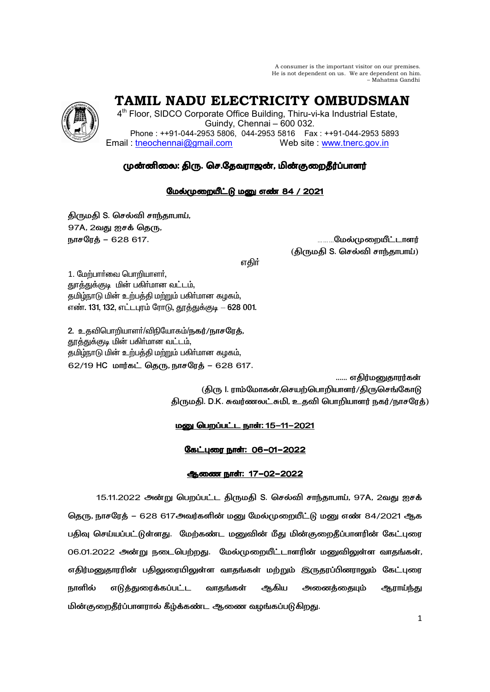A consumer is the important visitor on our premises. He is not dependent on us. We are dependent on him. – Mahatma Gandhi

TAMIL NADU ELECTRICITY OMBUDSMAN

4<sup>th</sup> Floor, SIDCO Corporate Office Building, Thiru-vi-ka Industrial Estate, Guindy, Chennai - 600 032. Phone: ++91-044-2953 5806, 044-2953 5816 Fax: ++91-044-2953 5893 Email: tneochennai@gmail.com Web site www.tnerc.gov.in

# முன்னிலை: திரு. செ.தேவராஜன், மின்குறைதீர்ப்பாளர்

## மேல்முறையீட்டு மனு எண் 84 / 2021

திருமதி S. செல்வி சாந்தாபாய், 97A, 2வது ஐசக் தெரு, நாசரேத் – 628 617.

**.மேல்முறையீட்டாளர்** (திருமதி S. செல்வி சாந்தாபாய்)

எதிர்

1. மேற்பார்வை பொறியாளர், துாத்துக்குடி மின் பகிா்மான வட்டம். தமிழ்நாடு மின் உற்பத்தி மற்றும் பகிர்மான கழகம், எண். 131, 132, எட்டபுரம் ரோடு, தூத்துக்குடி – 628 001.

2. உதவிபொறியாளர்/விநியோகம்/நகர்/நாசரேத், தூத்துக்குடி மின் பகிர்மான வட்டம், தமிழ்நாடு மின் உற்பத்தி மற்றும் பகிர்மான கழகம், 62/19 HC மார்கட் கொ. நாசரேக் – 628 617.

> ...... எதிர்மனுதாரர்கள் (திரு l. ராம்மோகன்,செயற்பொறியாளர்/திருசெங்கோடு கிருமதி, D.K. சுவர்ணலட்சுமி, உதவி பொறியாளர் நகர்/நாசரேக்)

## <u>மனு பெறப்பட்ட நாள்: 15-11-2021</u>

கேட்புரை நாள்: 06-01-2022

### ஆணை நாள்: 17-02-2022

15.11.2022 அன்று பெறப்பட்ட திருமதி S. செல்வி சாந்தாபாய், 97A, 2வது ஐசக் தெரு, நாசரேத் – 628 617அவர்களின் மனு மேல்முறையீட்டு மனு எண் 84/2021 ஆக பதிவு செய்யப்பட்டுள்ளது. மேற்கண்ட மனுவின் மீது மின்குறைதீப்பாளரின் கேட்புரை 06.01.2022 அன்று நடைபெற்றது. மேல்முறையீட்டாளரின் மனுவிலுள்ள வாதங்கள், எதிர்மனுதாரரின் பதிலுரையிலுள்ள வாதங்கள் மற்றும் இருதரப்பினராலும் கேட்புரை நாளில் எடுத்துரைக்கப்பட்ட வாதங்கள் ஆகிய அணைத்தையும் ஆராய்ந்து மின்குறைதீர்ப்பாளரால் கீழ்க்கண்ட ஆணை வழங்கப்படுகிறது.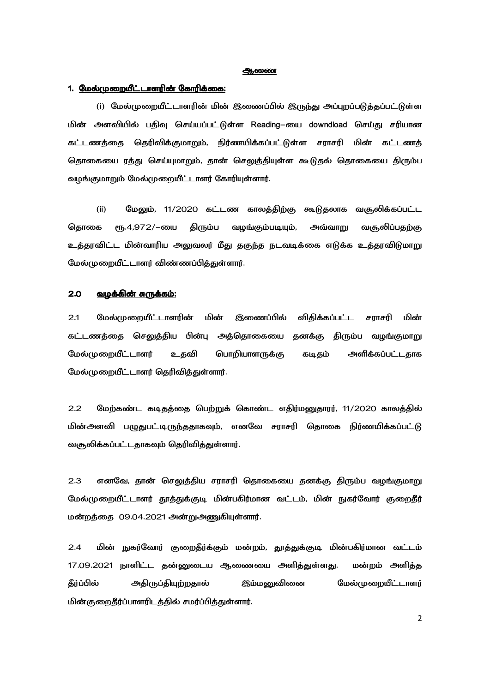### ஆணை

### 1. மேல்முறையீட்டாளரின் கோரிக்கை:

(i) மேல்முறையீட்டாளரின் மின் இணைப்பில் இருந்து அப்புறப்படுத்தப்பட்டுள்ள மின் அளவியில் பதிவு செய்யப்பட்டுள்ள Reading–யை downdload செய்து சரியான கட்டணத்தை தெரிவிக்குமாறும், நிர்ணயிக்கப்பட்டுள்ள சராசரி மின் கட்டணத் தொகையை ரத்து செய்யுமாறும், தான் செலுத்தியுள்ள கூடுதல் தொகையை திரும்ப வழங்குமாறும் மேல்முறையீட்டாளர் கோரியுள்ளார்.

 $(ii)$ மேலும், 11/2020 கட்டண காலத்திற்கு கூடுதலாக வசூலிக்கப்பட்ட வழங்கும்படியும், தொகை ரு.4,972/-யை திரும்ப அவ்வாறு வசூலிப்பதற்கு உத்தரவிட்ட மின்வாரிய அலுவலர் மீது தகுந்த நடவடிக்கை எடுக்க உத்தரவிடுமாறு மேல்முறையீட்டாளர் விண்ணப்பித்துள்ளார்.

### $2.0$ வழக்கின் சுருக்கம்:

 $2.1$ மேல்முறையீட்டாளரின் மின் இணைப்பில் விதிக்கப்பட்ட சராசரி மின் கட்டணத்தை செலுத்திய பின்பு அத்தொகையை தனக்கு திரும்ப வழங்குமாறு மேல்முறையீட்டாளர் உதவி பொறியாளருக்கு கடிதம் அளிக்கப்பட்டதாக மேல்முறையீட்டாளர் தெரிவித்துள்ளார்.

மேற்கண்ட கடிதத்தை பெற்றுக் கொண்ட எதிர்மனுதாரர், 11/2020 காலத்தில்  $2.2$ மின்அளவி பழுதுபட்டிருந்ததாகவும், எனவே சராசரி தொகை நிர்ணயிக்கப்பட்டு வசூலிக்கப்பட்டதாகவும் தெரிவித்துள்ளார்.

 $2.3$ எனவே, தான் செலுத்திய சராசரி தொகையை தனக்கு திரும்ப வழங்குமாறு மேல்முறையீட்டாளர் தூத்துக்குடி மின்பகிர்மான வட்டம், மின் நுகர்வோர் குறைதீர் மன்றத்தை 09.04.2021 அன்றுஅணுகியுள்ளார்.

 $2.4$ மின் நுகர்வோர் குறைதீர்க்கும் மன்றம், தூத்துக்குடி மின்பகிர்மான வட்டம் 17.09.2021 நாளிட்ட தன்னுடைய ஆணையை அளித்துள்ளது. மன்றம் அளித்த அதிருப்தியுற்றதால் மேல்முறையீட்டாளர் கீர்ப்பில் இம்மனுவினை மின்குறைதீர்ப்பாளரிடத்தில் சமர்ப்பித்துள்ளார்.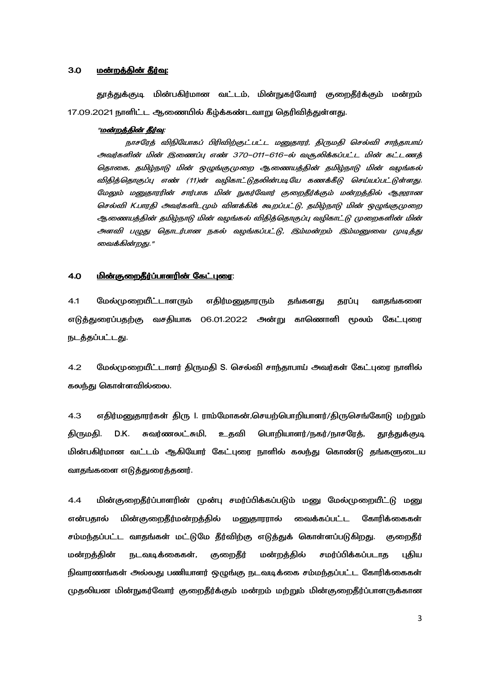#### $3.0$ மன்றத்தின் தீர்வு:

தூத்துக்குடி மின்பகிர்மான வட்டம், மின்நுகர்வோர் குறைதீர்க்கும் மன்றம் 17.09.2021 நாளிட்ட ஆணையில் கீழ்க்கண்டவாறு தெரிவித்துள்ளது.

### "ம<u>ன்றக்கின் தீர்வு</u>:

நாசரேத் விநியோகப் பிரிவிற்குட்பட்ட மனுதாரர், திருமதி செல்வி சாந்தாபாய் அவர்களின் மின் இணைப்பு எண் 370–011–616–ல் வருலிக்கப்பட்ட மின் கட்டணத் தொகை, தமிழ்நாடு மின் ஒழுங்குமுறை ஆணையத்தின் தமிழ்நாடு மின் வழங்கல் விதித்தொகுப்பு எண் (11)ன் வழிகாட்டுதலின்படியே கணக்கீடு செய்யப்பட்டுள்ளது. மேலும் மனுதாரரின் சார்பாக மின் நுகர்வோர் குறைதீர்க்கும் மன்றத்தில் ஆஜரான செல்வி K.பாரதி அவர்களிடமும் விளக்கிக் கூறப்பட்டு, தமிழ்நாடு மின் ஒழுங்குமுறை ஆணையத்தின் தமிழ்நாடு மின் வழங்கல் விதித்தொகுப்பு வழிகாட்டு முறைகளின் மின் அளவி பழுது தொடர்பான நகல் வழங்கப்பட்டு, இம்மன்றம் இம்மனுவை முடித்து வைக்கின்றது."

#### <u>மின்குறைதீர்ப்பாளரின் கேட்புரை:</u> 4.0

 $4.1$ மேல்முறையீட்டாளரும் எதிர்மனுதாரரும் தங்களது தரப்பு வாதங்களை எடுத்துரைப்பதற்கு வசதியாக 06.01.2022 அன்று காணொளி மூலம் கேட்புரை நடத்தப்பட்டது.

 $4.2$ மேல்முறையீட்டாளர் திருமதி S. செல்வி சாந்தாபாய் அவர்கள் கேட்புரை நாளில் கலந்து கொள்ளவில்லை.

 $4.3$ எதிர்மனுதாரர்கள் திரு I. ராம்மோகன்,செயற்பொறியாளர்/திருசெங்கோடு மற்றும் திருமதி. D.K. சுவர்ணலட்சுமி, உதவி பொறியாளர்/நகர்/நாசரேத், தூத்துக்குடி மின்பகிர்மான வட்டம் ஆகியோர் கேட்புரை நாளில் கலந்து கொண்டு தங்களுடைய வாதங்களை எடுத்துரைத்தனர்.

 $4.4$ மின்குறைதீர்ப்பாளரின் முன்பு சமர்ப்பிக்கப்படும் மனு மேல்முறையீட்டு மனு மின்குறைதீர்மன்றத்தில் மனுதாரரால் வைக்கப்பட்ட கோரிக்கைகள் என்பதால் சம்மந்தப்பட்ட வாதங்கள் மட்டுமே தீர்விற்கு எடுத்துக் கொள்ளப்படுகிறது. குறைதீர் மன்றக்கின் சமர்ப்பிக்கப்படாக புகிய நடவடிக்கைகள், குறைதீர் மன்றக்கில் நிவாரணங்கள் அல்லது பணியாளர் ஒழுங்கு நடவடிக்கை சம்மந்தப்பட்ட கோரிக்கைகள் முதலியன மின்நுகர்வோர் குறைதீர்க்கும் மன்றம் மற்றும் மின்குறைதீர்ப்பாளருக்கான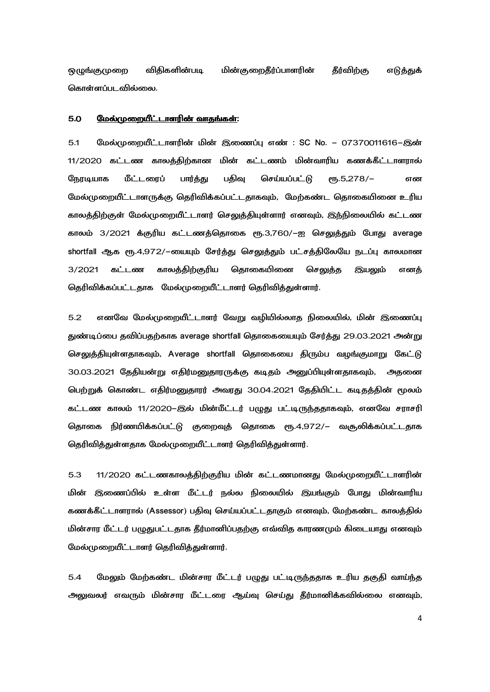**ஒழுங்குமுறை** விதிகளின்படி மின்குறைதீர்ப்பாளரின் தீர்விற்கு எடுத்துக் கொள்ளப்படவில்லை.

#### $5.0$ மேல்முறையீட்டாளரின் வாதங்கள்:

மேல்முறையீட்டாளரின் மின் இணைப்பு எண் : SC No. – 07370011616–இன்  $5.1$ 11/2020 கட்டண காலத்திற்கான மின் கட்டணம் மின்வாரிய கணக்கீட்டாளரால் மீட்டரைப் பதிவு செய்யப்பட்டு நேரடியாக பார்த்து  $PID.5,278/-$ என மேல்முறையீட்டாளருக்கு தெரிவிக்கப்பட்டதாகவும், மேற்கண்ட தொகையினை உரிய காலத்திற்குள் மேல்முறையீட்டாளர் செலுத்தியுள்ளார் எனவும், இந்நிலையில் கட்டண காலம் 3/2021 க்குரிய கட்டணத்தொகை ரூ.3,760/–ஐ செலுத்தும் போது average shortfall ஆக ரூ.4,972/–டையும் சேர்த்து செலுத்தும் பட்சத்திலேயே நடப்பு காலமான காலத்திற்குரிய கொகையிணை 3/2021 கட்டண செலுக்க இயலும் எனக் தெரிவிக்கப்பட்டதாக மேல்முறையீட்டாளர் தெரிவித்துள்ளார்.

 $5.2$ எனவே மேல்முறையீட்டாளர் வேறு வழியில்லாத நிலையில், மின் இணைப்பு துண்டிப்பை தவிப்பதற்காக average shortfall தொகையையும் சேர்த்து 29.03.2021 அன்று செலுத்தியுள்ளதாகவும், Average shortfall தொகையை திரும்ப வழங்குமாறு கேட்டு 30.03.2021 தேதியன்று எதிர்மனுதாரருக்கு கடிதம் அனுப்பியுள்ளதாகவும், அதனை பெற்றுக் கொண்ட எதிர்மனுதாரர் அவரது 30.04.2021 தேதியிட்ட கடிதத்தின் மூலம் கட்டண காலம் 11/2020–இல் மின்மீட்டர் பழுது பட்டிருந்ததாகவும், எனவே சராசரி தொகை நிர்ணயிக்கப்பட்டு குறைவுத் தொகை ரூ.4,972/– வசூலிக்கப்பட்டதாக தெரிவித்துள்ளதாக மேல்முறையீட்டாளர் தெரிவித்துள்ளார்.

 $5.3$ 11/2020 கட்டணகாலத்திற்குரிய மின் கட்டணமானது மேல்முறையீட்டாளரின் மின் இணைப்பில் உள்ள மீட்டர் நல்ல நிலையில் இயங்கும் போது மின்வாரிய கணக்கீட்டாளரால் (Assessor) பதிவு செய்யப்பட்டதாகும் எனவும், மேற்கண்ட காலத்தில் மின்சார மீட்டர் பழுதுபட்டதாக தீர்மானிப்பதற்கு எவ்வித காரணமும் கிடையாது எனவும் மேல்முறையீட்டாளர் தெரிவித்துள்ளார்.

 $5.4$ மேலும் மேற்கண்ட மின்சார மீட்டர் பழுது பட்டிருந்ததாக உரிய தகுதி வாய்ந்த அலுவலர் எவரும் மின்சார மீட்டரை ஆய்வு செய்து தீர்மானிக்கவில்லை எனவும்,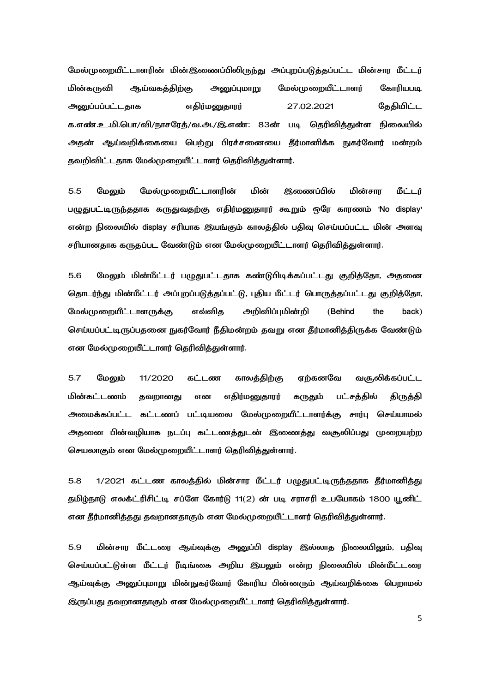மேல்முறையீட்டாளரின் மின்இணைப்பிலிருந்து அப்புறப்படுத்தப்பட்ட மின்சார மீட்டர் மின்கருவி ஆய்வகத்திற்கு அனுப்புமாறு மேல்முறையீட்டாளர் கோரியபடி எதிர்மனுதாரர் **அ**டைப்பப்பட்டகாக 27.02.2021 கேகியிட்ட க.எண்.உ.மி.பொ/வி/நாசரேத்/வ.அ./இ.எண்: 83ன் படி தெரிவித்துள்ள நிலையில் அதன் ஆய்வறிக்கையை பெற்று பிரச்சனையை தீர்மானிக்க நுகர்வோர் மன்றம் தவறிவிட்டதாக மேல்முறையீட்டாளர் தெரிவித்துள்ளார்.

 $5.5$ **இணைப்பில்** மின்சார மேலும் மேல்முறையீட்டாளரின் மின் மீட்டர் பழுதுபட்டிருந்ததாக கருதுவதற்கு எதிர்மனுதாரர் கூறும் ஒரே காரணம் 'No display' என்ற நிலையில் display சரியாக இயங்கும் காலத்தில் பதிவு செய்யப்பட்ட மின் அளவு சரியானதாக கருதப்பட வேண்டும் என மேல்முறையீட்டாளர் தெரிவித்துள்ளார்.

மேலும் மின்மீட்டர் பழுதுபட்டதாக கண்டுபிடிக்கப்பட்டது குறித்தோ, அதனை 5.6 தொடர்ந்து மின்மீட்டர் அப்புறப்படுத்தப்பட்டு, புதிய மீட்டர் பொருத்தப்பட்டது குறித்தோ, எவ்விக அறிவிப்புமின்றி மேல்முறையீட்டாளருக்கு (Behind the back) செய்யப்பட்டிருப்பதனை நுகர்வோர் நீதிமன்றம் தவறு என தீர்மானித்திருக்க வேண்டும் என மேல்முறையீட்டாளர் தெரிவிக்குள்ளார்.

 $5.7$ மேலம் 11/2020 கட்டண காலத்திற்கு எர்கனவே வசூலிக்கப்பட்ட எதிர்மனுதாரர் மின்கட்டணம் தவறானது என கருதும் பட்சத்தில் திருத்தி அமைக்கப்பட்ட கட்டணப் பட்டியலை மேல்முறையீட்டாளர்க்கு சார்பு செய்யாமல் அதனை பின்வழியாக நடப்பு கட்டணத்துடன் இணைத்து வசூலிப்பது முறையற்ற செயலாகும் என மேல்முறையீட்டாளர் தெரிவித்துள்ளார்.

1/2021 கட்டண காலத்தில் மின்சார மீட்டர் பழுதுபட்டிருந்ததாக தீர்மானித்து 5.8 தமிழ்நாடு எலக்ட்ரிசிட்டி சப்ளே கோர்டு 11(2) ன் படி சராசரி உபயோகம் 1800 யூனிட் என தீர்மானித்தது தவறானதாகும் என மேல்முறையீட்டாளர் தெரிவித்துள்ளார்.

மின்சார மீட்டரை ஆய்வுக்கு அனுப்பி display இல்லாத நிலையிலும், பதிவு 5.9 செய்யப்பட்டுள்ள மீட்டர் ரீடிங்கை அறிய இயலும் என்ற நிலையில் மின்மீட்டரை ஆய்வுக்கு அனுப்புமாறு மின்நுகர்வோர் கோரிய பின்னரும் ஆய்வறிக்கை பெறாமல் இருப்பது தவறானதாகும் என மேல்முறையீட்டாளர் தெரிவித்துள்ளார்.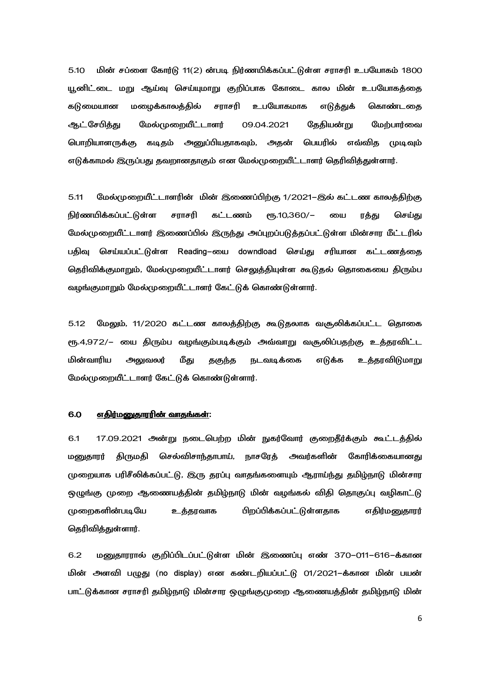மின் சப்ளை கோர்டு 11(2) ன்படி நிர்ணயிக்கப்பட்டுள்ள சராசரி உபயோகம் 1800  $5.10$ யூனிட்டை மறு ஆய்வு செய்யுமாறு குறிப்பாக கோடை கால மின் உபயோகத்தை கடுமையான மழைக்காலத்தில் मातमी உபயோகமாக எடுத்துக் கொண்டகை ஆட்சேபித்து மேல்முறையீட்டாளர் 09.04.2021 தேதியன்று மேற்பார்வை பொறியாளருக்கு கடிதம் அனுப்பியதாகவும், அதன் பெயரில் எவ்விக முடிவும் எடுக்காமல் இருப்பது தவறானதாகும் என மேல்முறையீட்டாளர் தெரிவித்துள்ளார்.

 $5.11$ மேல்முறையீட்டாளரின் மின் இணைப்பிற்கு 1/2021–இல் கட்டண காலத்திற்கு நிர்ணயிக்கப்பட்டுள்ள சராசரி கட்டணம் eҧ.10,360/-யை ரத்து செய்து மேல்முறையீட்டாளர் இணைப்பில் இருந்து அப்புறப்படுத்தப்பட்டுள்ள மின்சார மீட்டரில் செய்யப்பட்டுள்ள Reading-யை downdload செய்து சரியான கட்டணத்தை பகிவ தெரிவிக்குமாறும், மேல்முறையீட்டாளர் செலுத்தியுள்ள கூடுதல் தொகையை திரும்ப வழங்குமாறும் மேல்முறையீட்டாளர் கேட்டுக் கொண்டுள்ளார்.

 $5.12$ மேலும், 11/2020 கட்டண காலத்திற்கு கூடுதலாக வசூலிக்கப்பட்ட தொகை ரூ.4,972/– யை திரும்ப வழங்கும்படிக்கும் அவ்வாறு வசூலிப்பதற்கு உத்தரவிட்ட அலுவலர் மின்வாரிய மீது தகுந்த நடவடிக்கை எடுக்க உத்தரவிடுமாறு மேல்முறையீட்டாளர் கேட்டுக் கொண்டுள்ளார்.

#### 6.0 எதிர்மனுதாரரின் வாதங்கள்:

6.1 17.09.2021 அன்று நடைபெற்ற மின் நுகர்வோர் குறைதீர்க்கும் கூட்டத்தில் திருமதி செல்விசாந்தாபாய், நாசரேத் அவர்களின் கோரிக்கையானது மனுதாரர் முறையாக பரிசீலிக்கப்பட்டு, இரு தரப்பு வாதங்களையும் ஆராய்ந்து தமிழ்நாடு மின்சார ஒழுங்கு முறை ஆணையத்தின் தமிழ்நாடு மின் வழங்கல் விதி தொகுப்பு வழிகாட்டு முறைகளின்படியே உத்தரவாக **பிறப்பிக்கப்பட்டுள்ளதாக** எதிர்மனுதாரர் தெரிவித்துள்ளார்.

 $6.2$ மனுதாரால் குறிப்பிடப்பட்டுள்ள மின் இணைப்பு எண் 370–011–616–க்கான மின் அளவி பழுது (no display) என கண்டறியப்பட்டு 01/2021–க்கான மின் பயன் பாட்டுக்கான சராசரி தமிழ்நாடு மின்சார ஒழுங்குமுறை ஆணையத்தின் தமிழ்நாடு மின்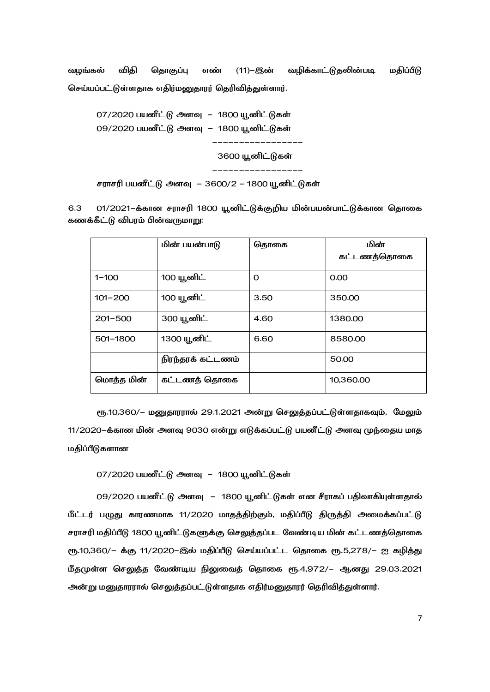வழங்கல் (11)-இன் விதி தொகுப்பு எண் வழிக்காட்டுதலின்படி மதிப்பீடு செய்யப்பட்டுள்ளதாக எதிர்மனுதாரர் தெரிவித்துள்ளார்.

07/2020 பயனீட்டு அளவு – 1800 யூனிட்டுகள் 09/2020 பயனீட்டு அளவு – 1800 யூனிட்டுகள் 3600 யூனிட்டுகள் \_\_\_\_\_\_\_\_\_\_\_\_\_\_\_\_\_\_\_\_

சராசரி பயனீட்டு அளவு – 3600/2 – 1800 யூனிட்டுகள்

 $6.3$ 01/2021–க்கான சராசரி 1800 யூனிட்டுக்குறிய மின்பயன்பாட்டுக்கான தொகை கணக்கீட்டு விபரம் பின்வருமாறு:

|             | மின் பயன்பாடு     | தொகை | மின்<br>கட்டணத்தொகை |
|-------------|-------------------|------|---------------------|
| $1 - 100$   | 100 யூனிட்        | O    | 0.00                |
| $101 - 200$ | 100 யூனிட்        | 3.50 | 350.00              |
| $201 - 500$ | 300 யூனிட்        | 4.60 | 1380.00             |
| 501-1800    | 1300 யூனிட்       | 6.60 | 8580.00             |
|             | நிரந்தரக் கட்டணம் |      | 50.00               |
| மொத்த மின்  | கட்டணத் தொகை      |      | 10.360.00           |

ரு.10,360/- மனுதாரரால் 29.1.2021 அன்று செலுத்தப்பட்டுள்ளதாகவும், மேலும் 11/2020-க்கான மின் அளவு 9030 என்று எடுக்கப்பட்டு பயனீட்டு அளவு முந்தைய மாத மதிப்பீடுகளான

07/2020 பயனீட்டு அளவு – 1800 யூனிட்டுகள்

09/2020 பயனீட்டு அளவு – 1800 யூனிட்டுகள் என சீராகப் பதிவாகியுள்ளதால் மீட்டர் பழுது காரணமாக 11/2020 மாதத்திற்கும், மதிப்பீடு திருத்தி அமைக்கப்பட்டு சராசரி மதிப்பீடு 1800 யூனிட்டுகளுக்கு செலுத்தப்பட வேண்டிய மின் கட்டணத்தொகை ரூ.10,360/- க்கு 11/2020-இல் மதிப்பீடு செய்யப்பட்ட தொகை ரூ.5,278/- ஐ கழித்து மீதமுள்ள செலுத்த வேண்டிய நிலுவைத் தொகை ரூ.4,972/– ஆனது 29.03.2021 அன்று மனுதாரரால் செலுத்தப்பட்டுள்ளதாக எதிர்மனுதாரர் தெரிவித்துள்ளார்.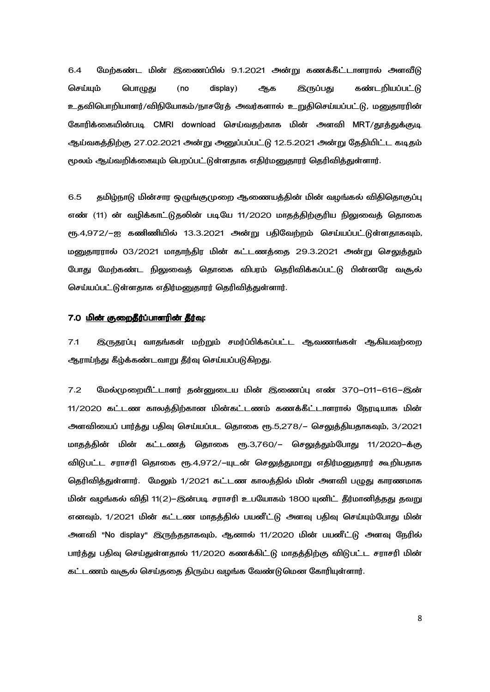6.4 மேற்கண்ட மின் இணைப்பில் 9.1.2021 அன்று கணக்கீட்டாளரால் அளவீடு செய்யும் பொழுது (no display) ஆக இருப்பது கண்டறியப்பட்டு உதவிபொறியாளர்/விநியோகம்/நாசரேத் அவர்களால் உறுதிசெய்யப்பட்டு, மனுதாரரின் கோரிக்கையின்படி CMRI download செய்வதற்காக மின் அளவி MRT/தூத்துக்குடி ஆய்வகத்திற்கு 27.02.2021 அன்று அனுப்பப்பட்டு 12.5.2021 அன்று தேதியிட்ட கடிதம் மூலம் ஆய்வறிக்கையும் பெறப்பட்டுள்ளதாக எதிர்மனுதாரர் தெரிவித்துள்ளார்.

6.5 தமிழ்நாடு மின்சார ஒழுங்குமுறை ஆணையத்தின் மின் வழங்கல் விதிதொகுப்பு எண் (11) ன் வழிக்காட்டுதலின் படியே 11/2020 மாதத்திற்குரிய நிலுவைத் தொகை ரூ.4,972/–ஐ கணிணியில் 13.3.2021 அன்று பதிவேற்றம் செய்யப்பட்டுள்ளதாகவும், மனுதாரரால் 03/2021 மாதாந்திர மின் கட்டணத்தை 29.3.2021 அன்று செலுத்தும் போது மேற்கண்ட நிலுவைத் தொகை விபரம் தெரிவிக்கப்பட்டு பின்னரே வசூல் செய்யப்பட்டுள்ளதாக எதிர்மனுதாரர் தெரிவித்துள்ளார்.

### 7.0 <u>மின் குறைதீர்ப்பாளரின் தீர்வு</u>:

7.1 இருதரப்பு வாதங்கள் மற்றும் சமர்ப்பிக்கப்பட்ட ஆவணங்கள் ஆகியவற்றை ஆராய்ந்து கீழ்க்கண்டவாறு தீர்வு செய்யப்படுகிறது.

7.2 மேல்முறையீட்டாளர் தன்னுடைய மின் இணைப்பு எண் 370–011–616–இன் 11/2020 கட்டண காலத்திற்கான மின்கட்டணம் கணக்கீட்டாளரால் நேரடியாக மின் அளவியைப் பார்த்து பதிவு செய்யப்பட தொகை ரூ.5,278/– செலுத்தியதாகவும், 3/2021 மாதத்தின் மின் கட்டணத் தொகை ரூ.3,760/– செலுத்தும்போது 11/2020–க்கு விடுபட்ட சராசரி தொகை ரூ.4,972/−யுடன் செலுத்துமாறு எதிர்மனுதாரர் கூறியதாக தெரிவித்துள்ளார். மேலும் 1/2021 கட்டண காலத்தில் மின் அளவி பழுது காரணமாக மின் வழங்கல் விதி 11(2)–இன்படி சராசரி உபயோகம் 1800 யுனிட் தீர்மானித்தது தவறு எனவும், 1/2021 மின் கட்டண மாதத்தில் பயனீட்டு அளவு பதிவு செய்யும்போது மின் அளவி "No display" இருந்ததாகவும், ஆனால் 11/2020 மின் பயனீட்டு அளவு நேரில் பார்த்து பதிவு செய்துள்ளதால் 11/2020 கணக்கிட்டு மாதத்திற்கு விடுபட்ட சராசரி மின் கட்டணம் வசூல் செய்ககை கிரும்ப வழங்க வேண்டுமென கோரியுள்ளார்.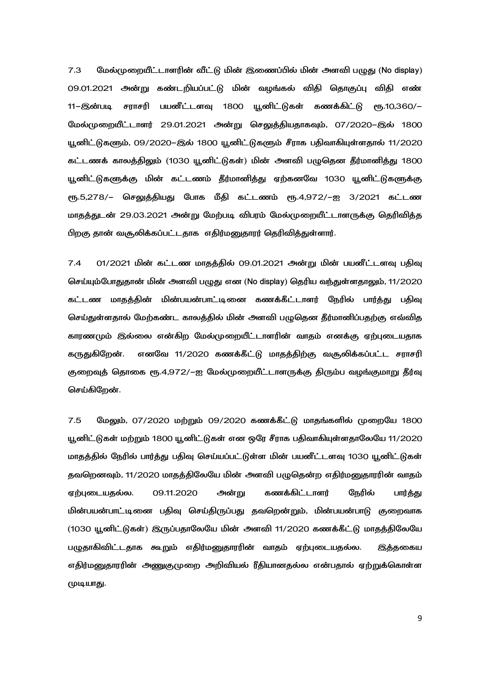மேல்முறையீட்டாளரின் வீட்டு மின் இணைப்பில் மின் அளவி பழுது (No display)  $7.3$ 09.01.2021 அன்று கண்டறியப்பட்டு மின் வழங்கல் விதி தொகுப்பு விதி எண் சராசரி பயனீட்டளவு 1800 யூனிட்டுகள் கணக்கிட்டு ரூ.10,360/– 11-இன்படி மேல்முறையீட்டாளர் 29.01.2021 அன்று செலுத்தியதாகவும், 07/2020-இல் 1800 யூனிட்டுகளும், 09/2020–இல் 1800 யூனிட்டுகளும் சீராக பதிவாகியுள்ளதால் 11/2020 கட்டணக் காலத்திலும் (1030 யூனிட்டுகள்) மின் அளவி பழுதென தீர்மானித்து 1800 யூனிட்டுகளுக்கு மின் கட்டணம் தீர்மானித்து ஏற்கனவே 1030 யூனிட்டுகளுக்கு ரு.5,278/– செலுத்தியது போக மீதி கட்டணம் ரூ.4,972/–ஐ 3/2021 கட்டண மாதத்துடன் 29.03.2021 அன்று மேற்படி விபரம் மேல்முறையீட்டாளருக்கு தெரிவித்த பிறகு தான் வசூலிக்கப்பட்டதாக எதிர்மனுதாரர் தெரிவித்துள்ளார்.

 $7.4$ 01/2021 மின் கட்டண மாதத்தில் 09.01.2021 அன்று மின் பயனீட்டளவு பதிவு செய்யும்போதுதான் மின் அளவி பழுது என (No display) தெரிய வந்துள்ளதாலும், 11/2020 கட்டண மாதத்தின் மின்பயன்பாட்டினை கணக்கீட்டாளர் நேரில் பார்த்து பதிவு செய்துள்ளதால் மேற்கண்ட காலத்தில் மின் அளவி பழுதென தீர்மானிப்பதற்கு எவ்வித காரணமும் இல்லை என்கிற மேல்முறையீட்டாளரின் வாதம் எனக்கு ஏற்புடையதாக கருதுகிறேன். எனவே 11/2020 கணக்கீட்டு மாதத்திற்கு வசூலிக்கப்பட்ட சராசரி குறைவுத் தொகை ரூ.4,972/-ஐ மேல்முறையீட்டாளருக்கு திரும்ப வழங்குமாறு தீர்வு செய்கிறேன்.

மேலும், 07/2020 மற்றும் 09/2020 கணக்கீட்டு மாதங்களில் முறையே 1800  $7.5$ யூனிட்டுகள் மற்றும் 1800 யூனிட்டுகள் என ஒரே சீராக பதிவாகியுள்ளதாலேயே 11/2020 மாதத்தில் நேரில் பார்த்து பதிவு செய்யப்பட்டுள்ள மின் பயனீட்டளவு 1030 யூனிட்டுகள் தவறெனவும், 11/2020 மாதத்திலேயே மின் அளவி பழுதென்ற எதிர்மனுதாரரின் வாதம் ஏற்புடையதல்ல. 09.11.2020 அன்று கணக்கிட்டாளர் நேரில் பார்த்து மின்பயன்பாட்டினை பதிவு செய்திருப்பது தவறென்றும், மின்பயன்பாடு குறைவாக (1030 யூனிட்டுகள்) இருப்பதாலேயே மின் அளவி 11/2020 கணக்கீட்டு மாதத்திலேயே பழுதாகிவிட்டதாக கூறும் எதிர்மனுதாரரின் வாதம் ஏற்புடையதல்ல. இத்தகைய எதிர்மனுதாரரின் அணுகுமுறை அறிவியல் ரீதியானதல்ல என்பதால் ஏற்றுக்கொள்ள முடியாது.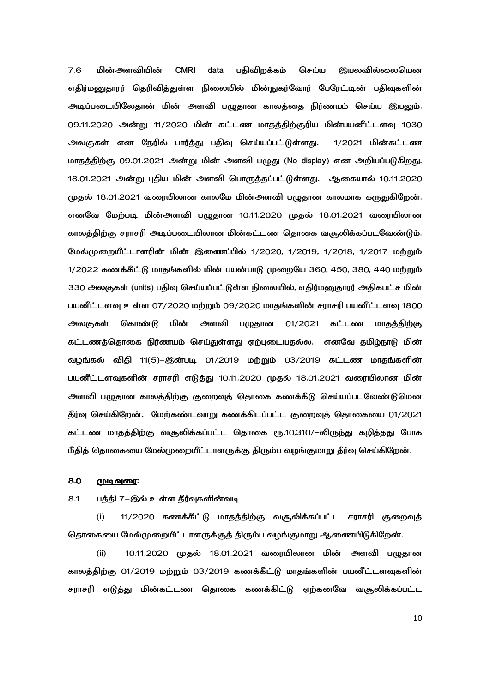$7.6$ **CMRI** பதிவிறக்கம் மின்அளவியின் data செய்ய **இயலவில்லையென** எதிர்மனுதாரர் தெரிவித்துள்ள நிலையில் மின்நுகர்வோர் பேரேட்டின் பதிவுகளின் அடிப்படையிலேதான் மின் அளவி பழுதான காலத்தை நிர்ணயம் செய்ய இயலும். 09.11.2020 அன்று 11/2020 மின் கட்டண மாதத்திற்குரிய மின்பயனீட்டளவு 1030 அலகுகள் என நேரில் பார்த்து பதிவு செய்யப்பட்டுள்ளது. 1/2021 மின்கட்டண மாதத்திற்கு 09.01.2021 அன்று மின் அளவி பழுது (No display) என அறியப்படுகிறது. 18.01.2021 அன்று புதிய மின் அளவி பொருத்தப்பட்டுள்ளது. ஆகையால் 10.11.2020 முதல் 18.01.2021 வரையிலான காலமே மின்அளவி பழுதான காலமாக கருதுகிறேன். எனவே மேற்படி மின்அளவி பழுதான 10.11.2020 முதல் 18.01.2021 வரையிலான காலத்திற்கு சராசரி அடிப்படையிலான மின்கட்டண தொகை வசூலிக்கப்படவேண்டும். மேல்முறையீட்டாளரின் மின் இணைப்பில் 1/2020, 1/2019, 1/2018, 1/2017 மற்றும் 1/2022 கணக்கீட்டு மாதங்களில் மின் பயன்பாடு முறையே 360, 450, 380, 440 மற்றும் 330 அலகுகள் (units) பதிவு செய்யப்பட்டுள்ள நிலையில், எதிர்மனுதாரர் அதிகபட்ச மின் பயனீட்டளவு உள்ள 07/2020 மற்றும் 09/2020 மாதங்களின் சராசரி பயனீட்டளவு 1800 கொண்டு மின் அளவி பழுதான 01/2021 கட்டண அலகுகள் மாகக்கிற்கு கட்டணத்தொகை நிர்ணயம் செய்துள்ளது ஏற்புடையதல்ல. எனவே தமிழ்நாடு மின் வழங்கல் விதி 11(5)–இன்படி 01/2019 மற்றும் 03/2019 கட்டண மாதங்களின் பயனீட்டளவுகளின் சராசரி எடுத்து 10.11.2020 முதல் 18.01.2021 வரையிலான மின் அளவி பழுதான காலத்திற்கு குறைவுத் தொகை கணக்கீடு செய்யப்படவேண்டுமென தீர்வு செய்கிறேன். மேற்கண்டவாறு கணக்கிடப்பட்ட குறைவுத் தொகையை 01/2021 கட்டண மாதத்திற்கு வசூலிக்கப்பட்ட தொகை ரூ.10,310/–லிருந்து கழித்தது போக மீதித் தொகையை மேல்முறையீட்டாளருக்கு திரும்ப வழங்குமாறு தீர்வு செய்கிறேன்.

#### 8.0 <u> முடிவுரை:</u>

#### $8.1$ பத்தி 7-இல் உள்ள தீர்வுகளின்வடி

11/2020 கணக்கீட்டு மாதத்திற்கு வசூலிக்கப்பட்ட சராசரி குறைவுத்  $(i)$ தொகையை மேல்முறையீட்டாளருக்குத் திரும்ப வழங்குமாறு ஆணையிடுகிறேன்.

10.11.2020 முதல் 18.01.2021 வரையிலான மின் அளவி பழுதான  $(ii)$ காலக்கிற்கு 01/2019 மற்றும் 03/2019 கணக்கீட்டு மாதங்களின் பயனீட்டளவுகளின் சராசரி எடுத்து மின்கட்டண தொகை கணக்கிட்டு ஏற்கனவே வசூலிக்கப்பட்ட